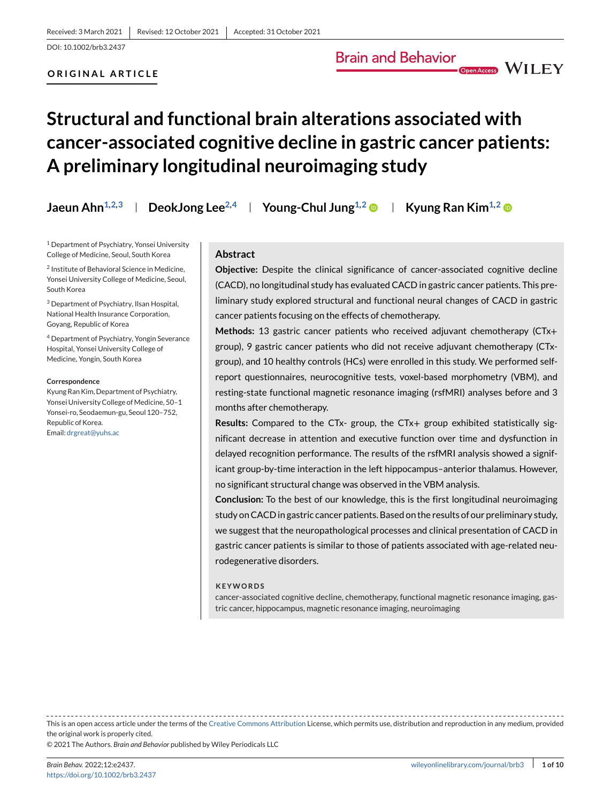## **ORIGINAL ARTICLE**

# **Structural and functional brain alterations associated with cancer-associated cognitive decline in gastric cancer patients: A preliminary longitudinal neuroimaging study**

**Jaeun Ahn**<sup>1,2,3</sup> | DeokJong Lee<sup>2,4</sup> | Young-Chul Jung<sup>1,2</sup> | Kyung Ran Kim<sup>1,2</sup> ©

<sup>1</sup> Department of Psychiatry, Yonsei University College of Medicine, Seoul, South Korea

<sup>2</sup> Institute of Behavioral Science in Medicine, Yonsei University College of Medicine, Seoul, South Korea

<sup>3</sup> Department of Psychiatry, Ilsan Hospital, National Health Insurance Corporation, Goyang, Republic of Korea

<sup>4</sup> Department of Psychiatry, Yongin Severance Hospital, Yonsei University College of Medicine, Yongin, South Korea

#### **Correspondence**

Kyung Ran Kim, Department of Psychiatry, Yonsei University College of Medicine, 50-1 Yonsei-ro, Seodaemun-gu, Seoul 120–752, Republic of Korea.

Email: [drgreat@yuhs.ac](mailto:drgreat@yuhs.ac)

## **Abstract**

**Objective:** Despite the clinical significance of cancer-associated cognitive decline (CACD), no longitudinal study has evaluated CACD in gastric cancer patients. This preliminary study explored structural and functional neural changes of CACD in gastric cancer patients focusing on the effects of chemotherapy.

**Brain and Behavior** 

Open Access WILEY

**Methods:** 13 gastric cancer patients who received adjuvant chemotherapy (CTx+ group), 9 gastric cancer patients who did not receive adjuvant chemotherapy (CTxgroup), and 10 healthy controls (HCs) were enrolled in this study. We performed selfreport questionnaires, neurocognitive tests, voxel-based morphometry (VBM), and resting-state functional magnetic resonance imaging (rsfMRI) analyses before and 3 months after chemotherapy.

**Results:** Compared to the CTx- group, the CTx+ group exhibited statistically significant decrease in attention and executive function over time and dysfunction in delayed recognition performance. The results of the rsfMRI analysis showed a significant group-by-time interaction in the left hippocampus–anterior thalamus. However, no significant structural change was observed in the VBM analysis.

**Conclusion:** To the best of our knowledge, this is the first longitudinal neuroimaging study on CACD in gastric cancer patients. Based on the results of our preliminary study, we suggest that the neuropathological processes and clinical presentation of CACD in gastric cancer patients is similar to those of patients associated with age-related neurodegenerative disorders.

#### **KEYWORDS**

cancer-associated cognitive decline, chemotherapy, functional magnetic resonance imaging, gastric cancer, hippocampus, magnetic resonance imaging, neuroimaging

This is an open access article under the terms of the [Creative Commons Attribution](http://creativecommons.org/licenses/by/4.0/) License, which permits use, distribution and reproduction in any medium, provided the original work is properly cited.

© 2021 The Authors. *Brain and Behavior* published by Wiley Periodicals LLC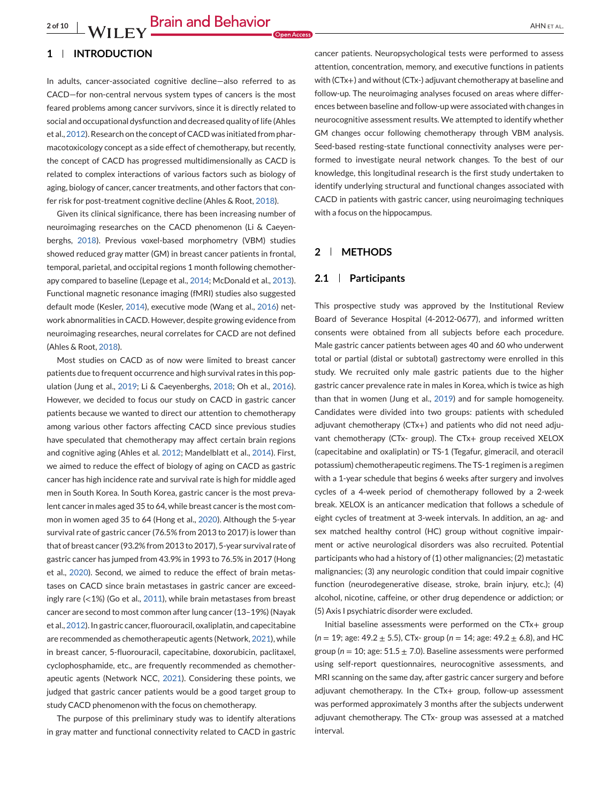# **1 INTRODUCTION**

In adults, cancer-associated cognitive decline—also referred to as CACD—for non-central nervous system types of cancers is the most feared problems among cancer survivors, since it is directly related to social and occupational dysfunction and decreased quality of life (Ahles et al., [2012\)](#page-8-0). Research on the concept of CACD was initiated from pharmacotoxicology concept as a side effect of chemotherapy, but recently, the concept of CACD has progressed multidimensionally as CACD is related to complex interactions of various factors such as biology of aging, biology of cancer, cancer treatments, and other factors that confer risk for post-treatment cognitive decline (Ahles & Root, [2018\)](#page-7-0).

Given its clinical significance, there has been increasing number of neuroimaging researches on the CACD phenomenon (Li & Caeyenberghs, [2018\)](#page-8-0). Previous voxel-based morphometry (VBM) studies showed reduced gray matter (GM) in breast cancer patients in frontal, temporal, parietal, and occipital regions 1 month following chemotherapy compared to baseline (Lepage et al., [2014;](#page-8-0) McDonald et al., [2013\)](#page-8-0). Functional magnetic resonance imaging (fMRI) studies also suggested default mode (Kesler, [2014\)](#page-8-0), executive mode (Wang et al., [2016\)](#page-9-0) network abnormalities in CACD. However, despite growing evidence from neuroimaging researches, neural correlates for CACD are not defined (Ahles & Root, [2018\)](#page-7-0).

Most studies on CACD as of now were limited to breast cancer patients due to frequent occurrence and high survival rates in this population (Jung et al., [2019;](#page-8-0) Li & Caeyenberghs, [2018;](#page-8-0) Oh et al., [2016\)](#page-8-0). However, we decided to focus our study on CACD in gastric cancer patients because we wanted to direct our attention to chemotherapy among various other factors affecting CACD since previous studies have speculated that chemotherapy may affect certain brain regions and cognitive aging (Ahles et al. [2012;](#page-8-0) Mandelblatt et al., [2014\)](#page-8-0). First, we aimed to reduce the effect of biology of aging on CACD as gastric cancer has high incidence rate and survival rate is high for middle aged men in South Korea. In South Korea, gastric cancer is the most prevalent cancer in males aged 35 to 64, while breast cancer is the most common in women aged 35 to 64 (Hong et al., [2020\)](#page-8-0). Although the 5-year survival rate of gastric cancer (76.5% from 2013 to 2017) is lower than that of breast cancer (93.2% from 2013 to 2017), 5-year survival rate of gastric cancer has jumped from 43.9% in 1993 to 76.5% in 2017 (Hong et al., [2020\)](#page-8-0). Second, we aimed to reduce the effect of brain metastases on CACD since brain metastases in gastric cancer are exceedingly rare (<1%) (Go et al., [2011\)](#page-8-0), while brain metastases from breast cancer are second to most common after lung cancer (13–19%) (Nayak et al., [2012\)](#page-8-0). In gastric cancer, fluorouracil, oxaliplatin, and capecitabine are recommended as chemotherapeutic agents (Network, [2021\)](#page-8-0), while in breast cancer, 5-fluorouracil, capecitabine, doxorubicin, paclitaxel, cyclophosphamide, etc., are frequently recommended as chemotherapeutic agents (Network NCC, [2021\)](#page-8-0). Considering these points, we judged that gastric cancer patients would be a good target group to study CACD phenomenon with the focus on chemotherapy.

The purpose of this preliminary study was to identify alterations in gray matter and functional connectivity related to CACD in gastric cancer patients. Neuropsychological tests were performed to assess attention, concentration, memory, and executive functions in patients with (CTx+) and without (CTx-) adjuvant chemotherapy at baseline and follow-up. The neuroimaging analyses focused on areas where differences between baseline and follow-up were associated with changes in neurocognitive assessment results. We attempted to identify whether GM changes occur following chemotherapy through VBM analysis. Seed-based resting-state functional connectivity analyses were performed to investigate neural network changes. To the best of our knowledge, this longitudinal research is the first study undertaken to identify underlying structural and functional changes associated with CACD in patients with gastric cancer, using neuroimaging techniques with a focus on the hippocampus.

# **2 METHODS**

## **2.1 Participants**

This prospective study was approved by the Institutional Review Board of Severance Hospital (4-2012-0677), and informed written consents were obtained from all subjects before each procedure. Male gastric cancer patients between ages 40 and 60 who underwent total or partial (distal or subtotal) gastrectomy were enrolled in this study. We recruited only male gastric patients due to the higher gastric cancer prevalence rate in males in Korea, which is twice as high than that in women (Jung et al., [2019\)](#page-8-0) and for sample homogeneity. Candidates were divided into two groups: patients with scheduled adjuvant chemotherapy (CTx+) and patients who did not need adjuvant chemotherapy (CTx- group). The CTx+ group received XELOX (capecitabine and oxaliplatin) or TS-1 (Tegafur, gimeracil, and oteracil potassium) chemotherapeutic regimens. The TS-1 regimen is a regimen with a 1-year schedule that begins 6 weeks after surgery and involves cycles of a 4-week period of chemotherapy followed by a 2-week break. XELOX is an anticancer medication that follows a schedule of eight cycles of treatment at 3-week intervals. In addition, an ag- and sex matched healthy control (HC) group without cognitive impairment or active neurological disorders was also recruited. Potential participants who had a history of (1) other malignancies; (2) metastatic malignancies; (3) any neurologic condition that could impair cognitive function (neurodegenerative disease, stroke, brain injury, etc.); (4) alcohol, nicotine, caffeine, or other drug dependence or addiction; or (5) Axis I psychiatric disorder were excluded.

Initial baseline assessments were performed on the CTx+ group (*n* = 19; age: 49.2 ± 5.5), CTx- group (*n* = 14; age: 49.2 ± 6.8), and HC group ( $n = 10$ ; age:  $51.5 \pm 7.0$ ). Baseline assessments were performed using self-report questionnaires, neurocognitive assessments, and MRI scanning on the same day, after gastric cancer surgery and before adjuvant chemotherapy. In the CTx+ group, follow-up assessment was performed approximately 3 months after the subjects underwent adjuvant chemotherapy. The CTx- group was assessed at a matched interval.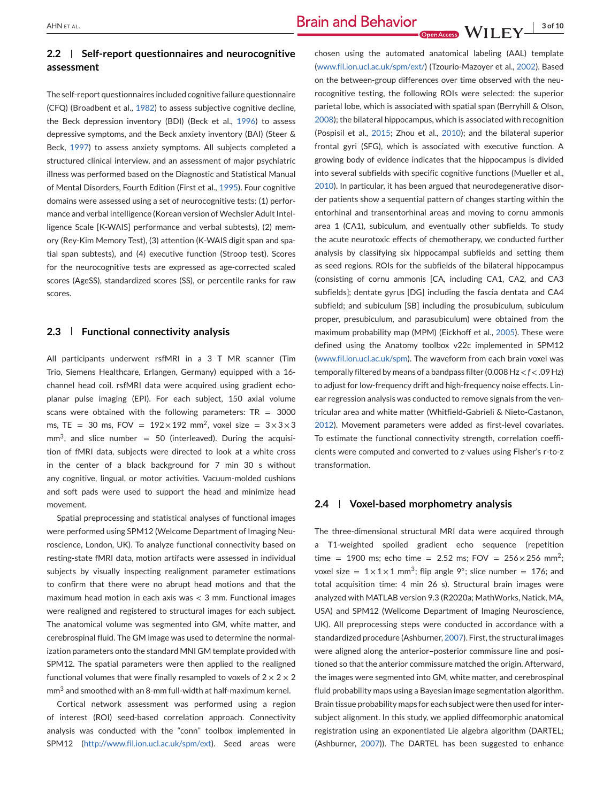# **2.2 Self-report questionnaires and neurocognitive assessment**

The self-report questionnaires included cognitive failure questionnaire (CFQ) (Broadbent et al., [1982\)](#page-8-0) to assess subjective cognitive decline, the Beck depression inventory (BDI) (Beck et al., [1996\)](#page-8-0) to assess depressive symptoms, and the Beck anxiety inventory (BAI) (Steer & Beck, [1997\)](#page-9-0) to assess anxiety symptoms. All subjects completed a structured clinical interview, and an assessment of major psychiatric illness was performed based on the Diagnostic and Statistical Manual of Mental Disorders, Fourth Edition (First et al., [1995\)](#page-8-0). Four cognitive domains were assessed using a set of neurocognitive tests: (1) performance and verbal intelligence (Korean version of Wechsler Adult Intelligence Scale [K-WAIS] performance and verbal subtests), (2) memory (Rey-Kim Memory Test), (3) attention (K-WAIS digit span and spatial span subtests), and (4) executive function (Stroop test). Scores for the neurocognitive tests are expressed as age-corrected scaled scores (AgeSS), standardized scores (SS), or percentile ranks for raw scores.

#### **2.3 Functional connectivity analysis**

All participants underwent rsfMRI in a 3 T MR scanner (Tim Trio, Siemens Healthcare, Erlangen, Germany) equipped with a 16 channel head coil. rsfMRI data were acquired using gradient echoplanar pulse imaging (EPI). For each subject, 150 axial volume scans were obtained with the following parameters:  $TR = 3000$ ms, TE = 30 ms, FOV =  $192 \times 192$  mm<sup>2</sup>, voxel size =  $3 \times 3 \times 3$  $mm<sup>3</sup>$ , and slice number = 50 (interleaved). During the acquisition of fMRI data, subjects were directed to look at a white cross in the center of a black background for 7 min 30 s without any cognitive, lingual, or motor activities. Vacuum-molded cushions and soft pads were used to support the head and minimize head movement.

Spatial preprocessing and statistical analyses of functional images were performed using SPM12 (Welcome Department of Imaging Neuroscience, London, UK). To analyze functional connectivity based on resting-state fMRI data, motion artifacts were assessed in individual subjects by visually inspecting realignment parameter estimations to confirm that there were no abrupt head motions and that the maximum head motion in each axis was  $<$  3 mm. Functional images were realigned and registered to structural images for each subject. The anatomical volume was segmented into GM, white matter, and cerebrospinal fluid. The GM image was used to determine the normalization parameters onto the standard MNI GM template provided with SPM12. The spatial parameters were then applied to the realigned functional volumes that were finally resampled to voxels of  $2 \times 2 \times 2$ mm3 and smoothed with an 8-mm full-width at half-maximum kernel.

Cortical network assessment was performed using a region of interest (ROI) seed-based correlation approach. Connectivity analysis was conducted with the "conn" toolbox implemented in SPM12 [\(http://www.fil.ion.ucl.ac.uk/spm/ext\)](http://www.fil.ion.ucl.ac.uk/spm/ext). Seed areas were

chosen using the automated anatomical labeling (AAL) template [\(www.fil.ion.ucl.ac.uk/spm/ext/\)](http://www.fil.ion.ucl.ac.uk/spm/ext/) (Tzourio-Mazoyer et al., [2002\)](#page-9-0). Based on the between-group differences over time observed with the neurocognitive testing, the following ROIs were selected: the superior parietal lobe, which is associated with spatial span (Berryhill & Olson, [2008\)](#page-8-0); the bilateral hippocampus, which is associated with recognition (Pospisil et al., [2015;](#page-9-0) Zhou et al., [2010\)](#page-9-0); and the bilateral superior frontal gyri (SFG), which is associated with executive function. A growing body of evidence indicates that the hippocampus is divided into several subfields with specific cognitive functions (Mueller et al., [2010\)](#page-8-0). In particular, it has been argued that neurodegenerative disorder patients show a sequential pattern of changes starting within the entorhinal and transentorhinal areas and moving to cornu ammonis area 1 (CA1), subiculum, and eventually other subfields. To study the acute neurotoxic effects of chemotherapy, we conducted further analysis by classifying six hippocampal subfields and setting them as seed regions. ROIs for the subfields of the bilateral hippocampus (consisting of cornu ammonis [CA, including CA1, CA2, and CA3 subfields]; dentate gyrus [DG] including the fascia dentata and CA4 subfield; and subiculum [SB] including the prosubiculum, subiculum proper, presubiculum, and parasubiculum) were obtained from the maximum probability map (MPM) (Eickhoff et al., [2005\)](#page-8-0). These were defined using the Anatomy toolbox v22c implemented in SPM12 [\(www.fil.ion.ucl.ac.uk/spm\)](http://www.fil.ion.ucl.ac.uk/spm). The waveform from each brain voxel was temporally filtered by means of a bandpass filter (0.008 Hz < *f* < .09 Hz) to adjust for low-frequency drift and high-frequency noise effects. Linear regression analysis was conducted to remove signals from the ventricular area and white matter (Whitfield-Gabrieli & Nieto-Castanon, [2012\)](#page-9-0). Movement parameters were added as first-level covariates. To estimate the functional connectivity strength, correlation coefficients were computed and converted to *z*-values using Fisher's r-to-z transformation.

#### **2.4 Voxel-based morphometry analysis**

The three-dimensional structural MRI data were acquired through a T1-weighted spoiled gradient echo sequence (repetition time = 1900 ms; echo time = 2.52 ms; FOV =  $256 \times 256$  mm<sup>2</sup>; voxel size =  $1 \times 1 \times 1$  mm<sup>3</sup>; flip angle 9°; slice number = 176; and total acquisition time: 4 min 26 s). Structural brain images were analyzed with MATLAB version 9.3 (R2020a; MathWorks, Natick, MA, USA) and SPM12 (Wellcome Department of Imaging Neuroscience, UK). All preprocessing steps were conducted in accordance with a standardized procedure (Ashburner, [2007\)](#page-8-0). First, the structural images were aligned along the anterior–posterior commissure line and positioned so that the anterior commissure matched the origin. Afterward, the images were segmented into GM, white matter, and cerebrospinal fluid probability maps using a Bayesian image segmentation algorithm. Brain tissue probability maps for each subject were then used for intersubject alignment. In this study, we applied diffeomorphic anatomical registration using an exponentiated Lie algebra algorithm (DARTEL; (Ashburner, [2007\)](#page-8-0)). The DARTEL has been suggested to enhance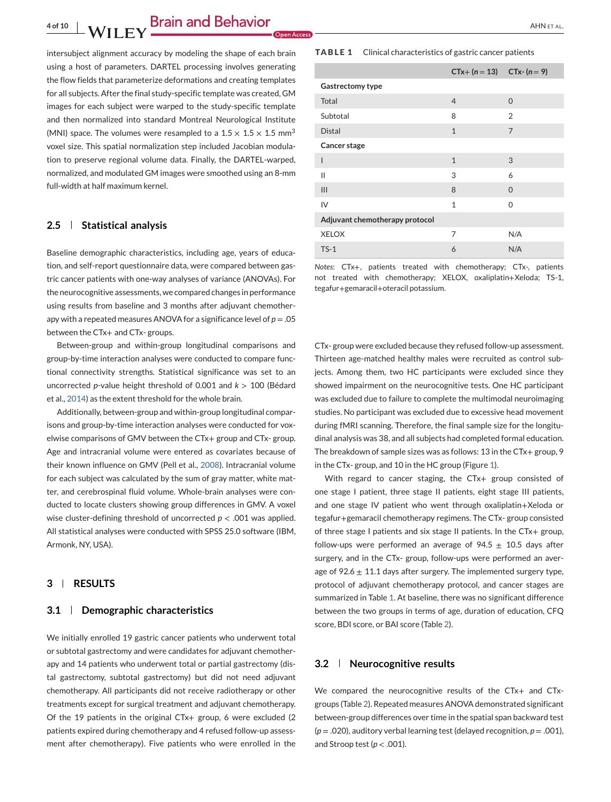**4 of 10** AHN ET AL.

intersubject alignment accuracy by modeling the shape of each brain using a host of parameters. DARTEL processing involves generating the flow fields that parameterize deformations and creating templates for all subjects. After the final study-specific template was created, GM images for each subject were warped to the study-specific template and then normalized into standard Montreal Neurological Institute (MNI) space. The volumes were resampled to a  $1.5 \times 1.5 \times 1.5$  mm<sup>3</sup> voxel size. This spatial normalization step included Jacobian modulation to preserve regional volume data. Finally, the DARTEL-warped, normalized, and modulated GM images were smoothed using an 8-mm full-width at half maximum kernel.

# **2.5 Statistical analysis**

Baseline demographic characteristics, including age, years of education, and self-report questionnaire data, were compared between gastric cancer patients with one-way analyses of variance (ANOVAs). For the neurocognitive assessments, we compared changes in performance using results from baseline and 3 months after adjuvant chemotherapy with a repeated measures ANOVA for a significance level of *p* = .05 between the CTx+ and CTx- groups.

Between-group and within-group longitudinal comparisons and group-by-time interaction analyses were conducted to compare functional connectivity strengths. Statistical significance was set to an uncorrected *p*-value height threshold of 0.001 and *k* > 100 (Bédard et al., [2014\)](#page-8-0) as the extent threshold for the whole brain.

Additionally, between-group and within-group longitudinal comparisons and group-by-time interaction analyses were conducted for voxelwise comparisons of GMV between the CTx+ group and CTx- group. Age and intracranial volume were entered as covariates because of their known influence on GMV (Pell et al., [2008\)](#page-8-0). Intracranial volume for each subject was calculated by the sum of gray matter, white matter, and cerebrospinal fluid volume. Whole-brain analyses were conducted to locate clusters showing group differences in GMV. A voxel wise cluster-defining threshold of uncorrected *p* < .001 was applied. All statistical analyses were conducted with SPSS 25.0 software (IBM, Armonk, NY, USA).

# **3 RESULTS**

#### **3.1 Demographic characteristics**

We initially enrolled 19 gastric cancer patients who underwent total or subtotal gastrectomy and were candidates for adjuvant chemotherapy and 14 patients who underwent total or partial gastrectomy (distal gastrectomy, subtotal gastrectomy) but did not need adjuvant chemotherapy. All participants did not receive radiotherapy or other treatments except for surgical treatment and adjuvant chemotherapy. Of the 19 patients in the original CTx+ group, 6 were excluded (2 patients expired during chemotherapy and 4 refused follow-up assessment after chemotherapy). Five patients who were enrolled in the

#### **TABLE 1** Clinical characteristics of gastric cancer patients

|                                | $CTx + (n = 13)$ $CTx - (n = 9)$ |                |
|--------------------------------|----------------------------------|----------------|
| Gastrectomy type               |                                  |                |
| Total                          | $\overline{4}$                   | $\Omega$       |
| Subtotal                       | 8                                | $\overline{2}$ |
| <b>Distal</b>                  | $\mathbf{1}$                     | $\overline{7}$ |
| Cancer stage                   |                                  |                |
| I                              | $\mathbf{1}$                     | 3              |
| Ш                              | 3                                | 6              |
| III                            | 8                                | $\Omega$       |
| IV                             | $\mathbf{1}$                     | $\Omega$       |
| Adjuvant chemotherapy protocol |                                  |                |
| <b>XELOX</b>                   | 7                                | N/A            |
| $TS-1$                         | 6                                | N/A            |

*Notes*: CTx+, patients treated with chemotherapy; CTx-, patients not treated with chemotherapy; XELOX, oxaliplatin+Xeloda; TS-1, tegafur+gemaracil+oteracil potassium.

CTx- group were excluded because they refused follow-up assessment. Thirteen age-matched healthy males were recruited as control subjects. Among them, two HC participants were excluded since they showed impairment on the neurocognitive tests. One HC participant was excluded due to failure to complete the multimodal neuroimaging studies. No participant was excluded due to excessive head movement during fMRI scanning. Therefore, the final sample size for the longitudinal analysis was 38, and all subjects had completed formal education. The breakdown of sample sizes was as follows: 13 in the CTx+ group, 9 in the CTx- group, and 10 in the HC group (Figure [1\)](#page-4-0).

With regard to cancer staging, the CTx+ group consisted of one stage I patient, three stage II patients, eight stage III patients, and one stage IV patient who went through oxaliplatin+Xeloda or tegafur+gemaracil chemotherapy regimens. The CTx- group consisted of three stage I patients and six stage II patients. In the CTx+ group, follow-ups were performed an average of 94.5  $\pm$  10.5 days after surgery, and in the CTx- group, follow-ups were performed an average of 92.6  $\pm$  11.1 days after surgery. The implemented surgery type, protocol of adjuvant chemotherapy protocol, and cancer stages are summarized in Table 1. At baseline, there was no significant difference between the two groups in terms of age, duration of education, CFQ score, BDI score, or BAI score (Table [2\)](#page-4-0).

#### **3.2 Neurocognitive results**

We compared the neurocognitive results of the CTx+ and CTxgroups (Table [2\)](#page-4-0). Repeated measures ANOVA demonstrated significant between-group differences over time in the spatial span backward test (*p* = .020), auditory verbal learning test (delayed recognition, *p* = .001), and Stroop test ( $p < .001$ ).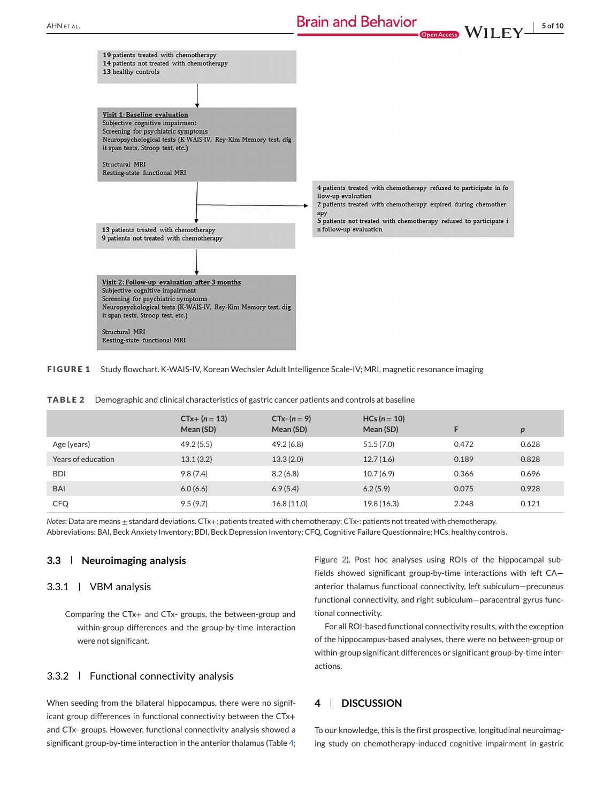<span id="page-4-0"></span>

**FIGURE 1** Study flowchart. K-WAIS-IV, Korean Wechsler Adult Intelligence Scale-IV; MRI, magnetic resonance imaging

|                    | $CTx + (n = 13)$<br>Mean (SD) | $CTx - (n = 9)$<br>Mean (SD) | $HCs (n = 10)$<br>Mean (SD) |       | p     |
|--------------------|-------------------------------|------------------------------|-----------------------------|-------|-------|
| Age (years)        | 49.2(5.5)                     | 49.2 (6.8)                   | 51.5(7.0)                   | 0.472 | 0.628 |
| Years of education | 13.1(3.2)                     | 13.3(2.0)                    | 12.7(1.6)                   | 0.189 | 0.828 |
| <b>BDI</b>         | 9.8(7.4)                      | 8.2(6.8)                     | 10.7(6.9)                   | 0.366 | 0.696 |
| <b>BAI</b>         | 6.0(6.6)                      | 6.9(5.4)                     | 6.2(5.9)                    | 0.075 | 0.928 |
| <b>CFQ</b>         | 9.5(9.7)                      | 16.8(11.0)                   | 19.8 (16.3)                 | 2.248 | 0.121 |

**TABLE 2** Demographic and clinical characteristics of gastric cancer patients and controls at baseline

*Notes*: Data are means ± standard deviations. CTx+: patients treated with chemotherapy; CTx-: patients not treated with chemotherapy. Abbreviations: BAI, Beck Anxiety Inventory; BDI, Beck Depression Inventory; CFQ, Cognitive Failure Questionnaire; HCs, healthy controls.

## **3.3 Neuroimaging analysis**

#### 3.3.1 VBM analysis

Comparing the CTx+ and CTx- groups, the between-group and within-group differences and the group-by-time interaction were not significant.

## 3.3.2 Functional connectivity analysis

When seeding from the bilateral hippocampus, there were no significant group differences in functional connectivity between the CTx+ and CTx- groups. However, functional connectivity analysis showed a significant group-by-time interaction in the anterior thalamus (Table [4;](#page-5-0)

Figure [2\)](#page-6-0). Post hoc analyses using ROIs of the hippocampal subfields showed significant group-by-time interactions with left CA anterior thalamus functional connectivity, left subiculum—precuneus functional connectivity, and right subiculum—paracentral gyrus functional connectivity.

For all ROI-based functional connectivity results, with the exception of the hippocampus-based analyses, there were no between-group or within-group significant differences or significant group-by-time interactions.

# **4 DISCUSSION**

To our knowledge, this is the first prospective, longitudinal neuroimaging study on chemotherapy-induced cognitive impairment in gastric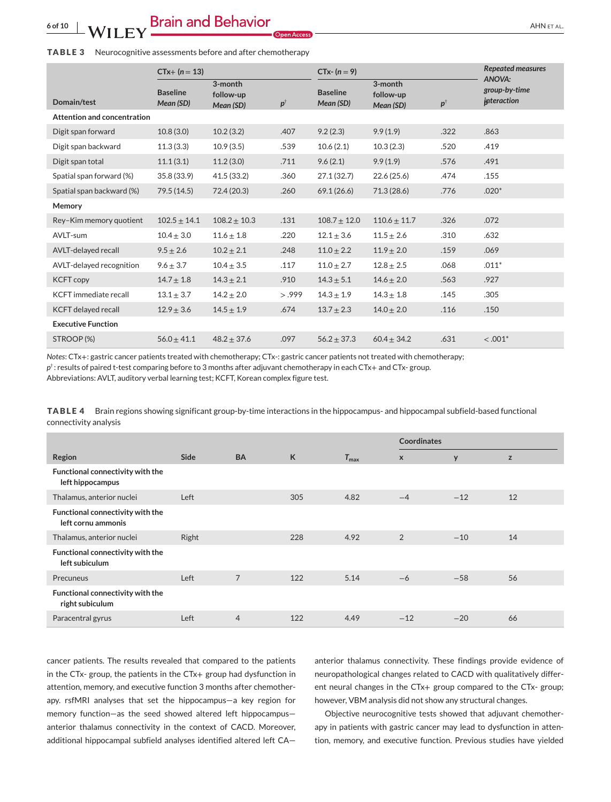#### <span id="page-5-0"></span>**TABLE 3** Neurocognitive assessments before and after chemotherapy

|                              | $CTx + (n = 13)$             |                                   |               | $CTx-(n=9)$                  |                                   |                            | <b>Repeated measures</b><br>ANOVA:  |  |
|------------------------------|------------------------------|-----------------------------------|---------------|------------------------------|-----------------------------------|----------------------------|-------------------------------------|--|
| Domain/test                  | <b>Baseline</b><br>Mean (SD) | 3-month<br>follow-up<br>Mean (SD) | $p^{\dagger}$ | <b>Baseline</b><br>Mean (SD) | 3-month<br>follow-up<br>Mean (SD) | $\boldsymbol{p}^{\dagger}$ | group-by-time<br><i>interaction</i> |  |
| Attention and concentration  |                              |                                   |               |                              |                                   |                            |                                     |  |
| Digit span forward           | 10.8(3.0)                    | 10.2(3.2)                         | .407          | 9.2(2.3)                     | 9.9(1.9)                          | .322                       | .863                                |  |
| Digit span backward          | 11.3(3.3)                    | 10.9(3.5)                         | .539          | 10.6(2.1)                    | 10.3(2.3)                         | .520                       | .419                                |  |
| Digit span total             | 11.1(3.1)                    | 11.2(3.0)                         | .711          | 9.6(2.1)                     | 9.9(1.9)                          | .576                       | .491                                |  |
| Spatial span forward (%)     | 35.8 (33.9)                  | 41.5(33.2)                        | .360          | 27.1(32.7)                   | 22.6(25.6)                        | .474                       | .155                                |  |
| Spatial span backward (%)    | 79.5(14.5)                   | 72.4 (20.3)                       | .260          | 69.1(26.6)                   | 71.3(28.6)                        | .776                       | $.020*$                             |  |
| Memory                       |                              |                                   |               |                              |                                   |                            |                                     |  |
| Rey-Kim memory quotient      | $102.5 \pm 14.1$             | $108.2 \pm 10.3$                  | .131          | $108.7 \pm 12.0$             | $110.6 \pm 11.7$                  | .326                       | .072                                |  |
| AVLT-sum                     | $10.4 \pm 3.0$               | $11.6 \pm 1.8$                    | .220          | $12.1 \pm 3.6$               | $11.5 \pm 2.6$                    | .310                       | .632                                |  |
| AVLT-delayed recall          | $9.5 \pm 2.6$                | $10.2 \pm 2.1$                    | .248          | $11.0 \pm 2.2$               | $11.9 \pm 2.0$                    | .159                       | .069                                |  |
| AVLT-delayed recognition     | $9.6 \pm 3.7$                | $10.4 \pm 3.5$                    | .117          | $11.0 \pm 2.7$               | $12.8 \pm 2.5$                    | .068                       | $.011*$                             |  |
| <b>KCFT copy</b>             | $14.7 \pm 1.8$               | $14.3 \pm 2.1$                    | .910          | $14.3 \pm 5.1$               | $14.6 \pm 2.0$                    | .563                       | .927                                |  |
| <b>KCFT</b> immediate recall | $13.1 \pm 3.7$               | $14.2 \pm 2.0$                    | > .999        | $14.3 \pm 1.9$               | $14.3 \pm 1.8$                    | .145                       | .305                                |  |
| KCFT delayed recall          | $12.9 \pm 3.6$               | $14.5 \pm 1.9$                    | .674          | $13.7 \pm 2.3$               | $14.0 \pm 2.0$                    | .116                       | .150                                |  |
| <b>Executive Function</b>    |                              |                                   |               |                              |                                   |                            |                                     |  |
| STROOP (%)                   | $56.0 + 41.1$                | $48.2 + 37.6$                     | .097          | $56.2 + 37.3$                | $60.4 + 34.2$                     | .631                       | $< .001*$                           |  |

*Notes*: CTx+: gastric cancer patients treated with chemotherapy; CTx-: gastric cancer patients not treated with chemotherapy; *p*†: results of paired t-test comparing before to 3 months after adjuvant chemotherapy in each CTx+ and CTx- group.

Abbreviations: AVLT, auditory verbal learning test; KCFT, Korean complex figure test.

**TABLE 4** Brain regions showing significant group-by-time interactions in the hippocampus- and hippocampal subfield-based functional connectivity analysis

|                                                        |             |                |     |                  | <b>Coordinates</b> |       |    |
|--------------------------------------------------------|-------------|----------------|-----|------------------|--------------------|-------|----|
| Region                                                 | <b>Side</b> | <b>BA</b>      | K   | $T_{\text{max}}$ | $\mathsf{x}$       | y     | z  |
| Functional connectivity with the<br>left hippocampus   |             |                |     |                  |                    |       |    |
| Thalamus, anterior nuclei                              | Left        |                | 305 | 4.82             | $-4$               | $-12$ | 12 |
| Functional connectivity with the<br>left cornu ammonis |             |                |     |                  |                    |       |    |
| Thalamus, anterior nuclei                              | Right       |                | 228 | 4.92             | $\overline{2}$     | $-10$ | 14 |
| Functional connectivity with the<br>left subiculum     |             |                |     |                  |                    |       |    |
| Precuneus                                              | Left        | $\overline{7}$ | 122 | 5.14             | $-6$               | $-58$ | 56 |
| Functional connectivity with the<br>right subiculum    |             |                |     |                  |                    |       |    |
| Paracentral gyrus                                      | Left        | $\overline{4}$ | 122 | 4.49             | $-12$              | $-20$ | 66 |

cancer patients. The results revealed that compared to the patients in the CTx- group, the patients in the CTx+ group had dysfunction in attention, memory, and executive function 3 months after chemotherapy. rsfMRI analyses that set the hippocampus—a key region for memory function—as the seed showed altered left hippocampus anterior thalamus connectivity in the context of CACD. Moreover, additional hippocampal subfield analyses identified altered left CA—

anterior thalamus connectivity. These findings provide evidence of neuropathological changes related to CACD with qualitatively different neural changes in the CTx+ group compared to the CTx- group; however, VBM analysis did not show any structural changes.

Objective neurocognitive tests showed that adjuvant chemotherapy in patients with gastric cancer may lead to dysfunction in attention, memory, and executive function. Previous studies have yielded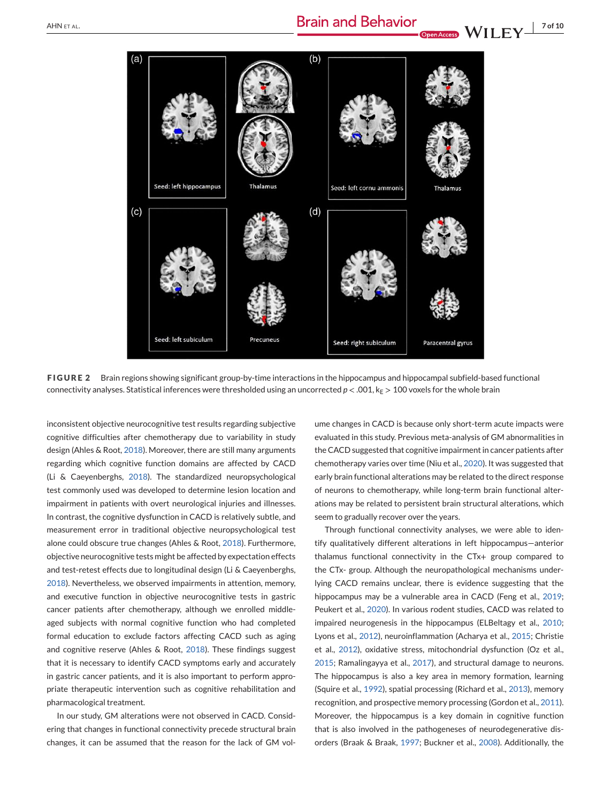<span id="page-6-0"></span>

**FIGURE 2** Brain regions showing significant group-by-time interactions in the hippocampus and hippocampal subfield-based functional connectivity analyses. Statistical inferences were thresholded using an uncorrected  $p < .001$ ,  $k_E > 100$  voxels for the whole brain

inconsistent objective neurocognitive test results regarding subjective cognitive difficulties after chemotherapy due to variability in study design (Ahles & Root, [2018\)](#page-7-0). Moreover, there are still many arguments regarding which cognitive function domains are affected by CACD (Li & Caeyenberghs, [2018\)](#page-8-0). The standardized neuropsychological test commonly used was developed to determine lesion location and impairment in patients with overt neurological injuries and illnesses. In contrast, the cognitive dysfunction in CACD is relatively subtle, and measurement error in traditional objective neuropsychological test alone could obscure true changes (Ahles & Root, [2018\)](#page-7-0). Furthermore, objective neurocognitive tests might be affected by expectation effects and test-retest effects due to longitudinal design (Li & Caeyenberghs, [2018\)](#page-8-0). Nevertheless, we observed impairments in attention, memory, and executive function in objective neurocognitive tests in gastric cancer patients after chemotherapy, although we enrolled middleaged subjects with normal cognitive function who had completed formal education to exclude factors affecting CACD such as aging and cognitive reserve (Ahles & Root, [2018\)](#page-7-0). These findings suggest that it is necessary to identify CACD symptoms early and accurately in gastric cancer patients, and it is also important to perform appropriate therapeutic intervention such as cognitive rehabilitation and pharmacological treatment.

In our study, GM alterations were not observed in CACD. Considering that changes in functional connectivity precede structural brain changes, it can be assumed that the reason for the lack of GM vol-

ume changes in CACD is because only short-term acute impacts were evaluated in this study. Previous meta-analysis of GM abnormalities in the CACD suggested that cognitive impairment in cancer patients after chemotherapy varies over time (Niu et al., [2020\)](#page-8-0). It was suggested that early brain functional alterations may be related to the direct response of neurons to chemotherapy, while long-term brain functional alterations may be related to persistent brain structural alterations, which seem to gradually recover over the years.

Through functional connectivity analyses, we were able to identify qualitatively different alterations in left hippocampus—anterior thalamus functional connectivity in the CTx+ group compared to the CTx- group. Although the neuropathological mechanisms underlying CACD remains unclear, there is evidence suggesting that the hippocampus may be a vulnerable area in CACD (Feng et al., [2019;](#page-8-0) Peukert et al., [2020\)](#page-9-0). In various rodent studies, CACD was related to impaired neurogenesis in the hippocampus (ELBeltagy et al., [2010;](#page-8-0) Lyons et al., [2012\)](#page-8-0), neuroinflammation (Acharya et al., [2015;](#page-7-0) Christie et al., [2012\)](#page-8-0), oxidative stress, mitochondrial dysfunction (Oz et al., [2015;](#page-8-0) Ramalingayya et al., [2017\)](#page-9-0), and structural damage to neurons. The hippocampus is also a key area in memory formation, learning (Squire et al., [1992\)](#page-9-0), spatial processing (Richard et al., [2013\)](#page-9-0), memory recognition, and prospective memory processing (Gordon et al., [2011\)](#page-8-0). Moreover, the hippocampus is a key domain in cognitive function that is also involved in the pathogeneses of neurodegenerative disorders (Braak & Braak, [1997;](#page-8-0) Buckner et al., [2008\)](#page-8-0). Additionally, the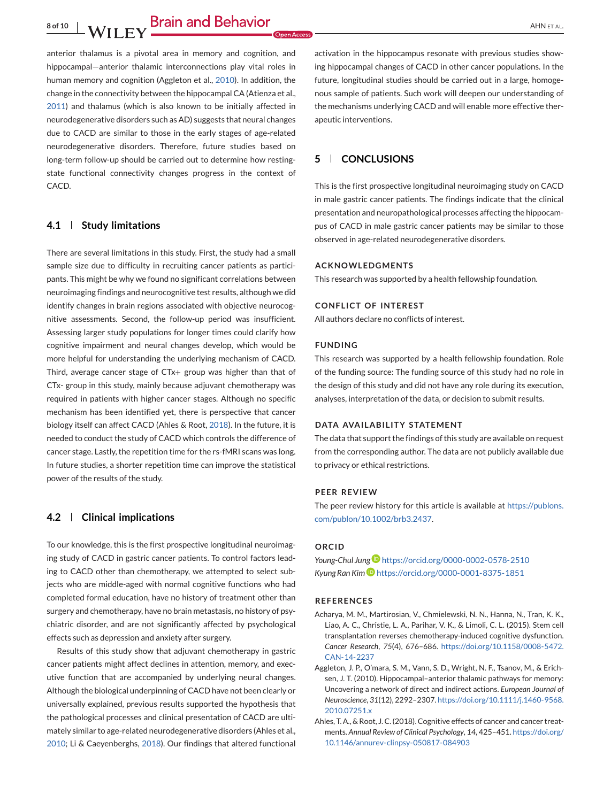<span id="page-7-0"></span>**8 of 10** AHN ET AL. **Brain and Behavior** 

anterior thalamus is a pivotal area in memory and cognition, and hippocampal—anterior thalamic interconnections play vital roles in human memory and cognition (Aggleton et al., 2010). In addition, the change in the connectivity between the hippocampal CA (Atienza et al., [2011\)](#page-8-0) and thalamus (which is also known to be initially affected in neurodegenerative disorders such as AD) suggests that neural changes due to CACD are similar to those in the early stages of age-related neurodegenerative disorders. Therefore, future studies based on long-term follow-up should be carried out to determine how restingstate functional connectivity changes progress in the context of CACD.

# **4.1 Study limitations**

There are several limitations in this study. First, the study had a small sample size due to difficulty in recruiting cancer patients as participants. This might be why we found no significant correlations between neuroimaging findings and neurocognitive test results, although we did identify changes in brain regions associated with objective neurocognitive assessments. Second, the follow-up period was insufficient. Assessing larger study populations for longer times could clarify how cognitive impairment and neural changes develop, which would be more helpful for understanding the underlying mechanism of CACD. Third, average cancer stage of CTx+ group was higher than that of CTx- group in this study, mainly because adjuvant chemotherapy was required in patients with higher cancer stages. Although no specific mechanism has been identified yet, there is perspective that cancer biology itself can affect CACD (Ahles & Root, 2018). In the future, it is needed to conduct the study of CACD which controls the difference of cancer stage. Lastly, the repetition time for the rs-fMRI scans was long. In future studies, a shorter repetition time can improve the statistical power of the results of the study.

## **4.2 Clinical implications**

To our knowledge, this is the first prospective longitudinal neuroimaging study of CACD in gastric cancer patients. To control factors leading to CACD other than chemotherapy, we attempted to select subjects who are middle-aged with normal cognitive functions who had completed formal education, have no history of treatment other than surgery and chemotherapy, have no brain metastasis, no history of psychiatric disorder, and are not significantly affected by psychological effects such as depression and anxiety after surgery.

Results of this study show that adjuvant chemotherapy in gastric cancer patients might affect declines in attention, memory, and executive function that are accompanied by underlying neural changes. Although the biological underpinning of CACD have not been clearly or universally explained, previous results supported the hypothesis that the pathological processes and clinical presentation of CACD are ultimately similar to age-related neurodegenerative disorders (Ahles et al., [2010;](#page-8-0) Li & Caeyenberghs, [2018\)](#page-8-0). Our findings that altered functional activation in the hippocampus resonate with previous studies showing hippocampal changes of CACD in other cancer populations. In the future, longitudinal studies should be carried out in a large, homogenous sample of patients. Such work will deepen our understanding of the mechanisms underlying CACD and will enable more effective therapeutic interventions.

# **5 CONCLUSIONS**

This is the first prospective longitudinal neuroimaging study on CACD in male gastric cancer patients. The findings indicate that the clinical presentation and neuropathological processes affecting the hippocampus of CACD in male gastric cancer patients may be similar to those observed in age-related neurodegenerative disorders.

#### **ACKNOWLEDGMENTS**

This research was supported by a health fellowship foundation.

#### **CONFLICT OF INTEREST**

All authors declare no conflicts of interest.

## **FUNDING**

This research was supported by a health fellowship foundation. Role of the funding source: The funding source of this study had no role in the design of this study and did not have any role during its execution, analyses, interpretation of the data, or decision to submit results.

#### **DATA AVAILABILITY STATEMENT**

The data that support the findings of this study are available on request from the corresponding author. The data are not publicly available due to privacy or ethical restrictions.

#### **PEER REVIEW**

The peer review history for this article is available at [https://publons.](https://publons.com/publon/10.1002/brb3.2437) [com/publon/10.1002/brb3.2437.](https://publons.com/publon/10.1002/brb3.2437)

## **ORCID**

*Young-Chul Jun[g](https://orcid.org/0000-0002-0578-2510)* <https://orcid.org/0000-0002-0578-2510> *Kyung Ran Kim* <https://orcid.org/0000-0001-8375-1851>

#### **REFERENCES**

- Acharya, M. M., Martirosian, V., Chmielewski, N. N., Hanna, N., Tran, K. K., Liao, A. C., Christie, L. A., Parihar, V. K., & Limoli, C. L. (2015). Stem cell transplantation reverses chemotherapy-induced cognitive dysfunction. *Cancer Research*, *75*(4), 676–686. [https://doi.org/10.1158/0008-5472.](https://doi.org/10.1158/0008-5472.CAN-14-2237) [CAN-14-2237](https://doi.org/10.1158/0008-5472.CAN-14-2237)
- Aggleton, J. P., O'mara, S. M., Vann, S. D., Wright, N. F., Tsanov, M., & Erichsen, J. T. (2010). Hippocampal–anterior thalamic pathways for memory: Uncovering a network of direct and indirect actions. *European Journal of Neuroscience*, *31*(12), 2292–2307. [https://doi.org/10.1111/j.1460-9568.](https://doi.org/10.1111/j.1460-9568.2010.07251.x) [2010.07251.x](https://doi.org/10.1111/j.1460-9568.2010.07251.x)
- Ahles, T. A., & Root, J. C. (2018). Cognitive effects of cancer and cancer treatments. *Annual Review of Clinical Psychology*, *14*, 425–451. [https://doi.org/](https://doi.org/10.1146/annurev-clinpsy-050817-084903) [10.1146/annurev-clinpsy-050817-084903](https://doi.org/10.1146/annurev-clinpsy-050817-084903)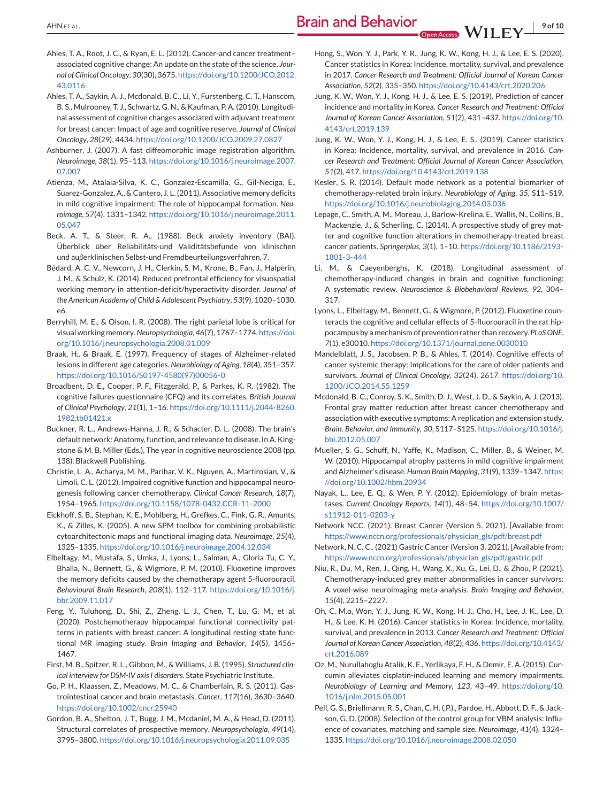- <span id="page-8-0"></span>Ahles, T. A., Root, J. C., & Ryan, E. L. (2012). Cancer-and cancer treatment– associated cognitive change: An update on the state of the science. *Journal of Clinical Oncology*, *30*(30), 3675. [https://doi.org/10.1200/JCO.2012.](https://doi.org/10.1200/JCO.2012.43.0116) [43.0116](https://doi.org/10.1200/JCO.2012.43.0116)
- Ahles, T. A., Saykin, A. J., Mcdonald, B. C., Li, Y., Furstenberg, C. T., Hanscom, B. S., Mulrooney, T. J., Schwartz, G. N., & Kaufman, P. A. (2010). Longitudinal assessment of cognitive changes associated with adjuvant treatment for breast cancer: Impact of age and cognitive reserve. *Journal of Clinical Oncology*, *28*(29), 4434. <https://doi.org/10.1200/JCO.2009.27.0827>
- Ashburner, J. (2007). A fast diffeomorphic image registration algorithm. *Neuroimage*, *38*(1), 95–113. [https://doi.org/10.1016/j.neuroimage.2007.](https://doi.org/10.1016/j.neuroimage.2007.07.007) [07.007](https://doi.org/10.1016/j.neuroimage.2007.07.007)
- Atienza, M., Atalaia-Silva, K. C., Gonzalez-Escamilla, G., Gil-Neciga, E., Suarez-Gonzalez, A., & Cantero, J. L. (2011). Associative memory deficits in mild cognitive impairment: The role of hippocampal formation. *Neuroimage*, *57*(4), 1331–1342. [https://doi.org/10.1016/j.neuroimage.2011.](https://doi.org/10.1016/j.neuroimage.2011.05.047) [05.047](https://doi.org/10.1016/j.neuroimage.2011.05.047)
- Beck, A. T., & Steer, R. A., (1988). Beck anxiety inventory (BAI). Überblick über Reliabilitäts-und Validitätsbefunde von klinischen und au*β*erklinischen Selbst-und Fremdbeurteilungsverfahren, 7.
- Bédard, A. C. V., Newcorn, J. H., Clerkin, S. M., Krone, B., Fan, J., Halperin, J. M., & Schulz, K. (2014). Reduced prefrontal efficiency for visuospatial working memory in attention-deficit/hyperactivity disorder. *Journal of the American Academy of Child & Adolescent Psychiatry*, *53*(9), 1020–1030. e6.
- Berryhill, M. E., & Olson, I. R. (2008). The right parietal lobe is critical for visual working memory.*Neuropsychologia*, *46*(7), 1767–1774. [https://doi.](https://doi.org/10.1016/j.neuropsychologia.2008.01.009) [org/10.1016/j.neuropsychologia.2008.01.009](https://doi.org/10.1016/j.neuropsychologia.2008.01.009)
- Braak, H., & Braak, E. (1997). Frequency of stages of Alzheimer-related lesions in different age categories.*Neurobiology of Aging*, *18*(4), 351–357. [https://doi.org/10.1016/S0197-4580\(97\)00056-0](https://doi.org/10.1016/S0197-4580(97)00056-0)
- Broadbent, D. E., Cooper, P. F., Fitzgerald, P., & Parkes, K. R. (1982). The cognitive failures questionnaire (CFQ) and its correlates. *British Journal of Clinical Psychology*, *21*(1), 1–16. [https://doi.org/10.1111/j.2044-8260.](https://doi.org/10.1111/j.2044-8260.1982.tb01421.x) [1982.tb01421.x](https://doi.org/10.1111/j.2044-8260.1982.tb01421.x)
- Buckner, R. L., Andrews-Hanna, J. R., & Schacter, D. L. (2008). The brain's default network: Anatomy, function, and relevance to disease. In A. Kingstone & M. B. Miller (Eds.), The year in cognitive neuroscience 2008 (pp. 138). Blackwell Publishing.
- Christie, L. A., Acharya, M. M., Parihar, V. K., Nguyen, A., Martirosian, V., & Limoli, C. L. (2012). Impaired cognitive function and hippocampal neurogenesis following cancer chemotherapy. *Clinical Cancer Research*, *18*(7), 1954–1965. <https://doi.org/10.1158/1078-0432.CCR-11-2000>
- Eickhoff, S. B., Stephan, K. E., Mohlberg, H., Grefkes, C., Fink, G. R., Amunts, K., & Zilles, K. (2005). A new SPM toolbox for combining probabilistic cytoarchitectonic maps and functional imaging data. *Neuroimage*, *25*(4), 1325–1335. <https://doi.org/10.1016/j.neuroimage.2004.12.034>
- Elbeltagy, M., Mustafa, S., Umka, J., Lyons, L., Salman, A., Gloria Tu, C. Y., Bhalla, N., Bennett, G., & Wigmore, P. M. (2010). Fluoxetine improves the memory deficits caused by the chemotherapy agent 5-fluorouracil. *Behavioural Brain Research*, *208*(1), 112–117. [https://doi.org/10.1016/j.](https://doi.org/10.1016/j.bbr.2009.11.017) [bbr.2009.11.017](https://doi.org/10.1016/j.bbr.2009.11.017)
- Feng, Y., Tuluhong, D., Shi, Z., Zheng, L. J., Chen, T., Lu, G. M., et al. (2020). Postchemotherapy hippocampal functional connectivity patterns in patients with breast cancer: A longitudinal resting state functional MR imaging study. *Brain Imaging and Behavior*, *14*(5), 1456– 1467.
- First, M. B., Spitzer, R. L., Gibbon, M., & Williams, J. B. (1995). *Structured clinical interview for DSM-IV axis I disorders*. State Psychiatric Institute.
- Go, P. H., Klaassen, Z., Meadows, M. C., & Chamberlain, R. S. (2011). Gastrointestinal cancer and brain metastasis. *Cancer*, *117*(16), 3630–3640. <https://doi.org/10.1002/cncr.25940>
- Gordon, B. A., Shelton, J. T., Bugg, J. M., Mcdaniel, M. A., & Head, D. (2011). Structural correlates of prospective memory. *Neuropsychologia*, *49*(14), 3795–3800. <https://doi.org/10.1016/j.neuropsychologia.2011.09.035>
- Hong, S., Won, Y. J., Park, Y. R., Jung, K. W., Kong, H. J., & Lee, E. S. (2020). Cancer statistics in Korea: Incidence, mortality, survival, and prevalence in 2017. *Cancer Research and Treatment: Official Journal of Korean Cancer Association*, *52*(2), 335–350. <https://doi.org/10.4143/crt.2020.206>
- Jung, K. W., Won, Y. J., Kong, H. J., & Lee, E. S. (2019). Prediction of cancer incidence and mortality in Korea. *Cancer Research and Treatment: Official Journal of Korean Cancer Association*, *51*(2), 431–437. [https://doi.org/10.](https://doi.org/10.4143/crt.2019.139) [4143/crt.2019.139](https://doi.org/10.4143/crt.2019.139)
- Jung, K. W., Won, Y. J., Kong, H. J., & Lee, E. S.. (2019). Cancer statistics in Korea: Incidence, mortality, survival, and prevalence in 2016. *Cancer Research and Treatment: Official Journal of Korean Cancer Association*, *51*(2), 417. <https://doi.org/10.4143/crt.2019.138>
- Kesler, S. R. (2014). Default mode network as a potential biomarker of chemotherapy-related brain injury. *Neurobiology of Aging*, *35*, S11–S19. <https://doi.org/10.1016/j.neurobiolaging.2014.03.036>
- Lepage, C., Smith, A. M., Moreau, J., Barlow-Krelina, E., Wallis, N., Collins, B., Mackenzie, J., & Scherling, C. (2014). A prospective study of grey matter and cognitive function alterations in chemotherapy-treated breast cancer patients. *Springerplus*, *3*(1), 1–10. [https://doi.org/10.1186/2193-](https://doi.org/10.1186/2193-1801-3-444) [1801-3-444](https://doi.org/10.1186/2193-1801-3-444)
- Li, M., & Caeyenberghs, K. (2018). Longitudinal assessment of chemotherapy-induced changes in brain and cognitive functioning: A systematic review. *Neuroscience & Biobehavioral Reviews*, *92*, 304– 317.
- Lyons, L., Elbeltagy, M., Bennett, G., & Wigmore, P. (2012). Fluoxetine counteracts the cognitive and cellular effects of 5-fluorouracil in the rat hippocampus by a mechanism of prevention rather than recovery. *PLoS ONE*, *7*(1), e30010. <https://doi.org/10.1371/journal.pone.0030010>
- Mandelblatt, J. S., Jacobsen, P. B., & Ahles, T. (2014). Cognitive effects of cancer systemic therapy: Implications for the care of older patients and survivors. *Journal of Clinical Oncology*, *32*(24), 2617. [https://doi.org/10.](https://doi.org/10.1200/JCO.2014.55.1259) [1200/JCO.2014.55.1259](https://doi.org/10.1200/JCO.2014.55.1259)
- Mcdonald, B. C., Conroy, S. K., Smith, D. J., West, J. D., & Saykin, A. J. (2013). Frontal gray matter reduction after breast cancer chemotherapy and association with executive symptoms: A replication and extension study. *Brain, Behavior, and Immunity*, *30*, S117–S125. [https://doi.org/10.1016/j.](https://doi.org/10.1016/j.bbi.2012.05.007) [bbi.2012.05.007](https://doi.org/10.1016/j.bbi.2012.05.007)
- Mueller, S. G., Schuff, N., Yaffe, K., Madison, C., Miller, B., & Weiner, M. W. (2010). Hippocampal atrophy patterns in mild cognitive impairment and Alzheimer's disease.*Human Brain Mapping*, *31*(9), 1339–1347. [https:](https://doi.org/10.1002/hbm.20934) [//doi.org/10.1002/hbm.20934](https://doi.org/10.1002/hbm.20934)
- Nayak, L., Lee, E. Q., & Wen, P. Y. (2012). Epidemiology of brain metastases. *Current Oncology Reports*, *14*(1), 48–54. [https://doi.org/10.1007/](https://doi.org/10.1007/s11912-011-0203-y) [s11912-011-0203-y](https://doi.org/10.1007/s11912-011-0203-y)
- Network NCC. (2021). Breast Cancer (Version 5. 2021). [Available from: [https://www.nccn.org/professionals/physician\\_gls/pdf/breast.pdf](https://www.nccn.org/professionals/physician_gls/pdf/breast.pdf)
- Network, N. C. C.. (2021) Gastric Cancer (Version 3. 2021). [Available from: [https://www.nccn.org/professionals/physician\\_gls/pdf/gastric.pdf](https://www.nccn.org/professionals/physician_gls/pdf/gastric.pdf)
- Niu, R., Du, M., Ren, J., Qing, H., Wang, X., Xu, G., Lei, D., & Zhou, P. (2021). Chemotherapy-induced grey matter abnormalities in cancer survivors: A voxel-wise neuroimaging meta-analysis. *Brain Imaging and Behavior*, *15*(4), 2215–2227.
- Oh, C. M.o, Won, Y. J., Jung, K. W., Kong, H. J., Cho, H., Lee, J. K., Lee, D. H., & Lee, K. H. (2016). Cancer statistics in Korea: Incidence, mortality, survival, and prevalence in 2013. *Cancer Research and Treatment: Official Journal of Korean Cancer Association*, *48*(2), 436. [https://doi.org/10.4143/](https://doi.org/10.4143/crt.2016.089) [crt.2016.089](https://doi.org/10.4143/crt.2016.089)
- Oz, M., Nurullahoglu Atalik, K. E., Yerlikaya, F. H., & Demir, E. A. (2015). Curcumin alleviates cisplatin-induced learning and memory impairments. *Neurobiology of Learning and Memory*, *123*, 43–49. [https://doi.org/10.](https://doi.org/10.1016/j.nlm.2015.05.001) [1016/j.nlm.2015.05.001](https://doi.org/10.1016/j.nlm.2015.05.001)
- Pell, G. S., Briellmann, R. S., Chan, C. H. (.P.)., Pardoe, H., Abbott, D. F., & Jackson, G. D. (2008). Selection of the control group for VBM analysis: Influence of covariates, matching and sample size. *Neuroimage*, *41*(4), 1324– 1335. <https://doi.org/10.1016/j.neuroimage.2008.02.050>